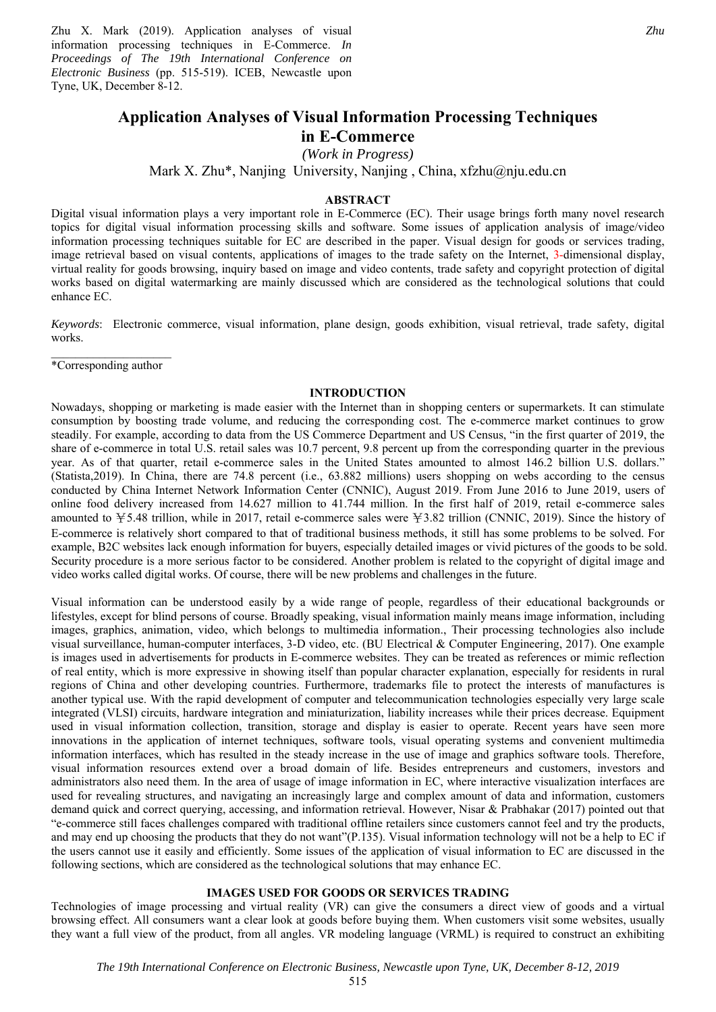Zhu X. Mark (2019). Application analyses of visual information processing techniques in E-Commerce. *In Proceedings of The 19th International Conference on Electronic Business* (pp. 515-519). ICEB, Newcastle upon Tyne, UK, December 8-12.

# **Application Analyses of Visual Information Processing Techniques**

## **in E-Commerce**

*(Work in Progress)* 

Mark X. Zhu\*, Nanjing University, Nanjing , China, xfzhu@nju.edu.cn

#### **ABSTRACT**

Digital visual information plays a very important role in E-Commerce (EC). Their usage brings forth many novel research topics for digital visual information processing skills and software. Some issues of application analysis of image/video information processing techniques suitable for EC are described in the paper. Visual design for goods or services trading, image retrieval based on visual contents, applications of images to the trade safety on the Internet, 3-dimensional display, virtual reality for goods browsing, inquiry based on image and video contents, trade safety and copyright protection of digital works based on digital watermarking are mainly discussed which are considered as the technological solutions that could enhance EC.

*Keywords*: Electronic commerce, visual information, plane design, goods exhibition, visual retrieval, trade safety, digital works.

\*Corresponding author

## **INTRODUCTION**

Nowadays, shopping or marketing is made easier with the Internet than in shopping centers or supermarkets. It can stimulate consumption by boosting trade volume, and reducing the corresponding cost. The e-commerce market continues to grow steadily. For example, according to data from the US Commerce Department and US Census, "in the first quarter of 2019, the share of e-commerce in total U.S. retail sales was 10.7 percent, 9.8 percent up from the corresponding quarter in the previous year. As of that quarter, retail e-commerce sales in the United States amounted to almost 146.2 billion U.S. dollars." (Statista,2019). In China, there are 74.8 percent (i.e., 63.882 millions) users shopping on webs according to the census conducted by China Internet Network Information Center (CNNIC), August 2019. From June 2016 to June 2019, users of online food delivery increased from 14.627 million to 41.744 million. In the first half of 2019, retail e-commerce sales amounted to ¥5.48 trillion, while in 2017, retail e-commerce sales were ¥3.82 trillion (CNNIC, 2019). Since the history of E-commerce is relatively short compared to that of traditional business methods, it still has some problems to be solved. For example, B2C websites lack enough information for buyers, especially detailed images or vivid pictures of the goods to be sold. Security procedure is a more serious factor to be considered. Another problem is related to the copyright of digital image and video works called digital works. Of course, there will be new problems and challenges in the future.

Visual information can be understood easily by a wide range of people, regardless of their educational backgrounds or lifestyles, except for blind persons of course. Broadly speaking, visual information mainly means image information, including images, graphics, animation, video, which belongs to multimedia information., Their processing technologies also include visual surveillance, human-computer interfaces, 3-D video, etc. (BU Electrical & Computer Engineering, 2017). One example is images used in advertisements for products in E-commerce websites. They can be treated as references or mimic reflection of real entity, which is more expressive in showing itself than popular character explanation, especially for residents in rural regions of China and other developing countries. Furthermore, trademarks file to protect the interests of manufactures is another typical use. With the rapid development of computer and telecommunication technologies especially very large scale integrated (VLSI) circuits, hardware integration and miniaturization, liability increases while their prices decrease. Equipment used in visual information collection, transition, storage and display is easier to operate. Recent years have seen more innovations in the application of internet techniques, software tools, visual operating systems and convenient multimedia information interfaces, which has resulted in the steady increase in the use of image and graphics software tools. Therefore, visual information resources extend over a broad domain of life. Besides entrepreneurs and customers, investors and administrators also need them. In the area of usage of image information in EC, where interactive visualization interfaces are used for revealing structures, and navigating an increasingly large and complex amount of data and information, customers demand quick and correct querying, accessing, and information retrieval. However, Nisar & Prabhakar (2017) pointed out that "e-commerce still faces challenges compared with traditional offline retailers since customers cannot feel and try the products, and may end up choosing the products that they do not want"(P.135). Visual information technology will not be a help to EC if the users cannot use it easily and efficiently. Some issues of the application of visual information to EC are discussed in the following sections, which are considered as the technological solutions that may enhance EC.

#### **IMAGES USED FOR GOODS OR SERVICES TRADING**

Technologies of image processing and virtual reality (VR) can give the consumers a direct view of goods and a virtual browsing effect. All consumers want a clear look at goods before buying them. When customers visit some websites, usually they want a full view of the product, from all angles. VR modeling language (VRML) is required to construct an exhibiting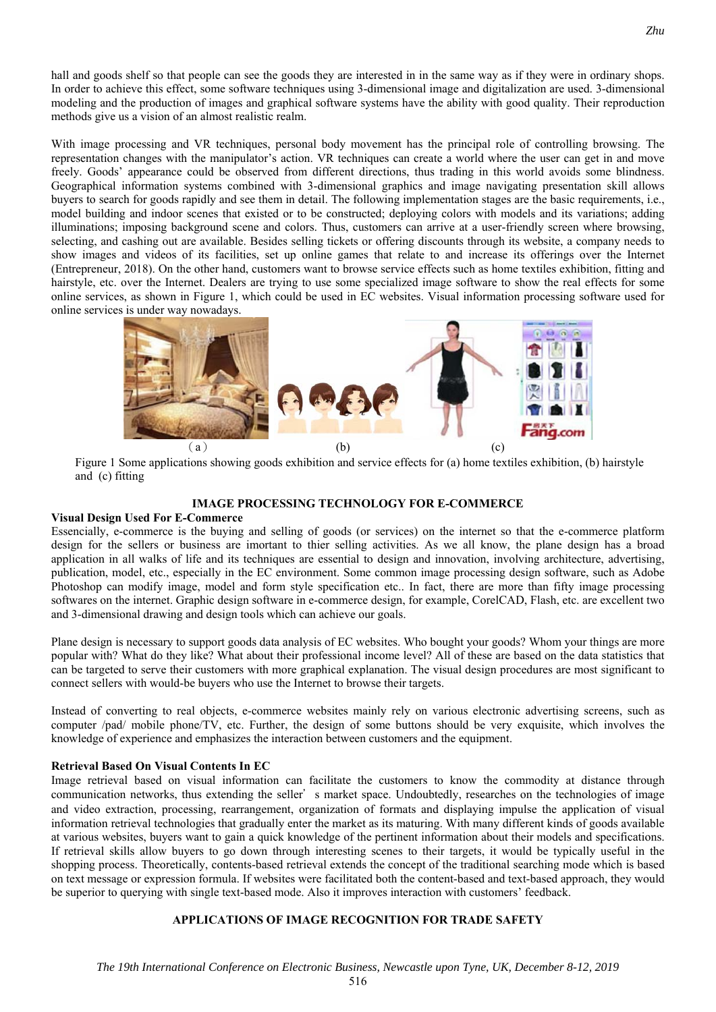hall and goods shelf so that people can see the goods they are interested in in the same way as if they were in ordinary shops. In order to achieve this effect, some software techniques using 3-dimensional image and digitalization are used. 3-dimensional modeling and the production of images and graphical software systems have the ability with good quality. Their reproduction methods give us a vision of an almost realistic realm.

With image processing and VR techniques, personal body movement has the principal role of controlling browsing. The representation changes with the manipulator's action. VR techniques can create a world where the user can get in and move freely. Goods' appearance could be observed from different directions, thus trading in this world avoids some blindness. Geographical information systems combined with 3-dimensional graphics and image navigating presentation skill allows buyers to search for goods rapidly and see them in detail. The following implementation stages are the basic requirements, i.e., model building and indoor scenes that existed or to be constructed; deploying colors with models and its variations; adding illuminations; imposing background scene and colors. Thus, customers can arrive at a user-friendly screen where browsing, selecting, and cashing out are available. Besides selling tickets or offering discounts through its website, a company needs to show images and videos of its facilities, set up online games that relate to and increase its offerings over the Internet (Entrepreneur, 2018). On the other hand, customers want to browse service effects such as home textiles exhibition, fitting and hairstyle, etc. over the Internet. Dealers are trying to use some specialized image software to show the real effects for some online services, as shown in Figure 1, which could be used in EC websites. Visual information processing software used for online services is under way nowadays.



Figure 1 Some applications showing goods exhibition and service effects for (a) home textiles exhibition, (b) hairstyle and (c) fitting

## **IMAGE PROCESSING TECHNOLOGY FOR E-COMMERCE**

## **Visual Design Used For E-Commerce**

Essencially, e-commerce is the buying and selling of goods (or services) on the internet so that the e-commerce platform design for the sellers or business are imortant to thier selling activities. As we all know, the plane design has a broad application in all walks of life and its techniques are essential to design and innovation, involving architecture, advertising, publication, model, etc., especially in the EC environment. Some common image processing design software, such as Adobe Photoshop can modify image, model and form style specification etc.. In fact, there are more than fifty image processing softwares on the internet. Graphic design software in e-commerce design, for example, CorelCAD, Flash, etc. are excellent two and 3-dimensional drawing and design tools which can achieve our goals.

Plane design is necessary to support goods data analysis of EC websites. Who bought your goods? Whom your things are more popular with? What do they like? What about their professional income level? All of these are based on the data statistics that can be targeted to serve their customers with more graphical explanation. The visual design procedures are most significant to connect sellers with would-be buyers who use the Internet to browse their targets.

Instead of converting to real objects, e-commerce websites mainly rely on various electronic advertising screens, such as computer /pad/ mobile phone/TV, etc. Further, the design of some buttons should be very exquisite, which involves the knowledge of experience and emphasizes the interaction between customers and the equipment.

## **Retrieval Based On Visual Contents In EC**

Image retrieval based on visual information can facilitate the customers to know the commodity at distance through communication networks, thus extending the seller's market space. Undoubtedly, researches on the technologies of image and video extraction, processing, rearrangement, organization of formats and displaying impulse the application of visual information retrieval technologies that gradually enter the market as its maturing. With many different kinds of goods available at various websites, buyers want to gain a quick knowledge of the pertinent information about their models and specifications. If retrieval skills allow buyers to go down through interesting scenes to their targets, it would be typically useful in the shopping process. Theoretically, contents-based retrieval extends the concept of the traditional searching mode which is based on text message or expression formula. If websites were facilitated both the content-based and text-based approach, they would be superior to querying with single text-based mode. Also it improves interaction with customers' feedback.

## **APPLICATIONS OF IMAGE RECOGNITION FOR TRADE SAFETY**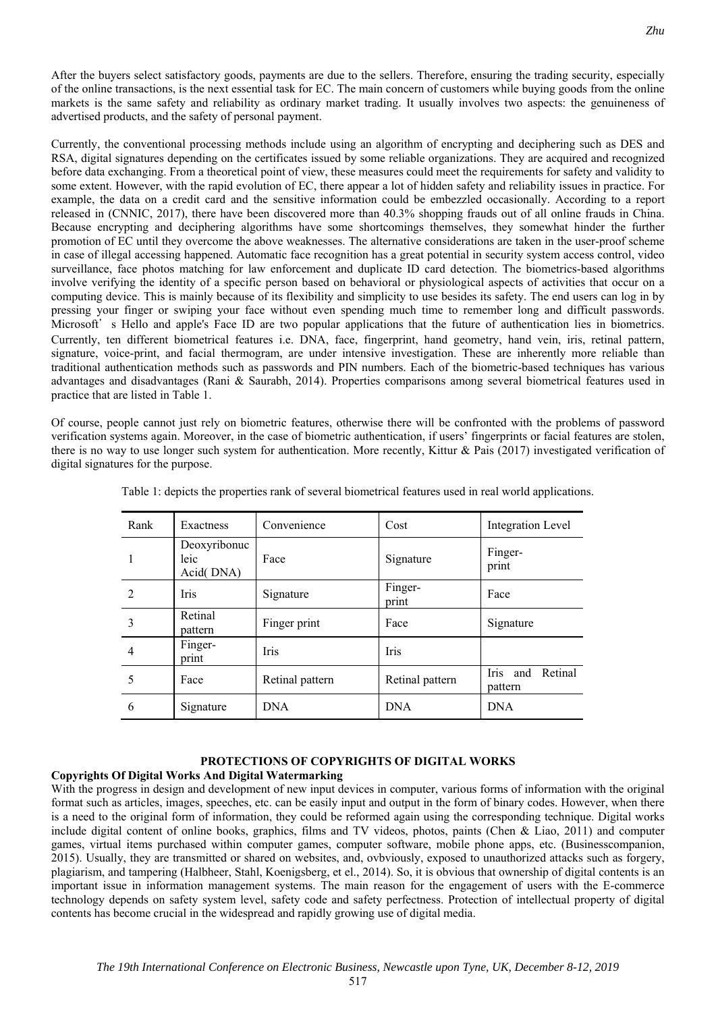After the buyers select satisfactory goods, payments are due to the sellers. Therefore, ensuring the trading security, especially of the online transactions, is the next essential task for EC. The main concern of customers while buying goods from the online markets is the same safety and reliability as ordinary market trading. It usually involves two aspects: the genuineness of advertised products, and the safety of personal payment.

Currently, the conventional processing methods include using an algorithm of encrypting and deciphering such as DES and RSA, digital signatures depending on the certificates issued by some reliable organizations. They are acquired and recognized before data exchanging. From a theoretical point of view, these measures could meet the requirements for safety and validity to some extent. However, with the rapid evolution of EC, there appear a lot of hidden safety and reliability issues in practice. For example, the data on a credit card and the sensitive information could be embezzled occasionally. According to a report released in (CNNIC, 2017), there have been discovered more than 40.3% shopping frauds out of all online frauds in China. Because encrypting and deciphering algorithms have some shortcomings themselves, they somewhat hinder the further promotion of EC until they overcome the above weaknesses. The alternative considerations are taken in the user-proof scheme in case of illegal accessing happened. Automatic face recognition has a great potential in security system access control, video surveillance, face photos matching for law enforcement and duplicate ID card detection. The biometrics-based algorithms involve verifying the identity of a specific person based on behavioral or physiological aspects of activities that occur on a computing device. This is mainly because of its flexibility and simplicity to use besides its safety. The end users can log in by pressing your finger or swiping your face without even spending much time to remember long and difficult passwords. Microsoft's Hello and apple's Face ID are two popular applications that the future of authentication lies in biometrics. Currently, ten different biometrical features i.e. DNA, face, fingerprint, hand geometry, hand vein, iris, retinal pattern, signature, voice-print, and facial thermogram, are under intensive investigation. These are inherently more reliable than traditional authentication methods such as passwords and PIN numbers. Each of the biometric-based techniques has various advantages and disadvantages (Rani & Saurabh, 2014). Properties comparisons among several biometrical features used in practice that are listed in Table 1.

Of course, people cannot just rely on biometric features, otherwise there will be confronted with the problems of password verification systems again. Moreover, in the case of biometric authentication, if users' fingerprints or facial features are stolen, there is no way to use longer such system for authentication. More recently, Kittur & Pais (2017) investigated verification of digital signatures for the purpose.

| Rank           | Exactness                         | Convenience     | Cost             | Integration Level           |
|----------------|-----------------------------------|-----------------|------------------|-----------------------------|
| 1              | Deoxyribonuc<br>leic<br>Acid(DNA) | Face            | Signature        | Finger-<br>print            |
| $\mathfrak{D}$ | <b>Iris</b>                       | Signature       | Finger-<br>print | Face                        |
| 3              | Retinal<br>pattern                | Finger print    | Face             | Signature                   |
| $\overline{4}$ | Finger-<br>print                  | <b>Iris</b>     | <b>Iris</b>      |                             |
| 5              | Face                              | Retinal pattern | Retinal pattern  | Iris and Retinal<br>pattern |
| 6              | Signature                         | <b>DNA</b>      | <b>DNA</b>       | <b>DNA</b>                  |

Table 1: depicts the properties rank of several biometrical features used in real world applications.

## **PROTECTIONS OF COPYRIGHTS OF DIGITAL WORKS**

## **Copyrights Of Digital Works And Digital Watermarking**

With the progress in design and development of new input devices in computer, various forms of information with the original format such as articles, images, speeches, etc. can be easily input and output in the form of binary codes. However, when there is a need to the original form of information, they could be reformed again using the corresponding technique. Digital works include digital content of online books, graphics, films and TV videos, photos, paints (Chen & Liao, 2011) and computer games, virtual items purchased within computer games, computer software, mobile phone apps, etc. (Businesscompanion, 2015). Usually, they are transmitted or shared on websites, and, ovbviously, exposed to unauthorized attacks such as forgery, plagiarism, and tampering (Halbheer, Stahl, Koenigsberg, et el., 2014). So, it is obvious that ownership of digital contents is an important issue in information management systems. The main reason for the engagement of users with the E-commerce technology depends on safety system level, safety code and safety perfectness. Protection of intellectual property of digital contents has become crucial in the widespread and rapidly growing use of digital media.

517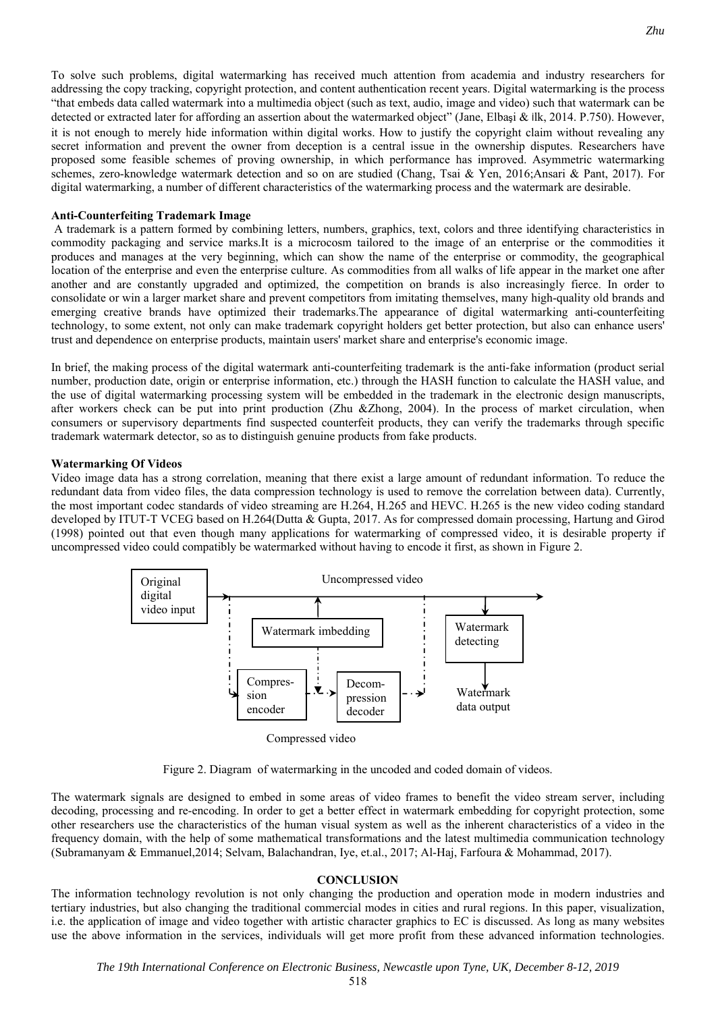To solve such problems, digital watermarking has received much attention from academia and industry researchers for addressing the copy tracking, copyright protection, and content authentication recent years. Digital watermarking is the process "that embeds data called watermark into a multimedia object (such as text, audio, image and video) such that watermark can be detected or extracted later for affording an assertion about the watermarked object" (Jane, Elbasi & ilk, 2014. P.750). However, it is not enough to merely hide information within digital works. How to justify the copyright claim without revealing any secret information and prevent the owner from deception is a central issue in the ownership disputes. Researchers have proposed some feasible schemes of proving ownership, in which performance has improved. Asymmetric watermarking schemes, zero-knowledge watermark detection and so on are studied (Chang, Tsai & Yen, 2016;Ansari & Pant, 2017). For digital watermarking, a number of different characteristics of the watermarking process and the watermark are desirable.

## **Anti-Counterfeiting Trademark Image**

 A trademark is a pattern formed by combining letters, numbers, graphics, text, colors and three identifying characteristics in commodity packaging and service marks.It is a microcosm tailored to the image of an enterprise or the commodities it produces and manages at the very beginning, which can show the name of the enterprise or commodity, the geographical location of the enterprise and even the enterprise culture. As commodities from all walks of life appear in the market one after another and are constantly upgraded and optimized, the competition on brands is also increasingly fierce. In order to consolidate or win a larger market share and prevent competitors from imitating themselves, many high-quality old brands and emerging creative brands have optimized their trademarks.The appearance of digital watermarking anti-counterfeiting technology, to some extent, not only can make trademark copyright holders get better protection, but also can enhance users' trust and dependence on enterprise products, maintain users' market share and enterprise's economic image.

In brief, the making process of the digital watermark anti-counterfeiting trademark is the anti-fake information (product serial number, production date, origin or enterprise information, etc.) through the HASH function to calculate the HASH value, and the use of digital watermarking processing system will be embedded in the trademark in the electronic design manuscripts, after workers check can be put into print production (Zhu &Zhong, 2004). In the process of market circulation, when consumers or supervisory departments find suspected counterfeit products, they can verify the trademarks through specific trademark watermark detector, so as to distinguish genuine products from fake products.

## **Watermarking Of Videos**

Video image data has a strong correlation, meaning that there exist a large amount of redundant information. To reduce the redundant data from video files, the data compression technology is used to remove the correlation between data). Currently, the most important codec standards of video streaming are H.264, H.265 and HEVC. H.265 is the new video coding standard developed by ITUT-T VCEG based on H.264(Dutta & Gupta, 2017. As for compressed domain processing, Hartung and Girod (1998) pointed out that even though many applications for watermarking of compressed video, it is desirable property if uncompressed video could compatibly be watermarked without having to encode it first, as shown in Figure 2.



Figure 2. Diagram of watermarking in the uncoded and coded domain of videos.

The watermark signals are designed to embed in some areas of video frames to benefit the video stream server, including decoding, processing and re-encoding. In order to get a better effect in watermark embedding for copyright protection, some other researchers use the characteristics of the human visual system as well as the inherent characteristics of a video in the frequency domain, with the help of some mathematical transformations and the latest multimedia communication technology (Subramanyam & Emmanuel,2014; Selvam, Balachandran, Iye, et.al., 2017; Al-Haj, Farfoura & Mohammad, 2017).

## **CONCLUSION**

The information technology revolution is not only changing the production and operation mode in modern industries and tertiary industries, but also changing the traditional commercial modes in cities and rural regions. In this paper, visualization, i.e. the application of image and video together with artistic character graphics to EC is discussed. As long as many websites use the above information in the services, individuals will get more profit from these advanced information technologies.